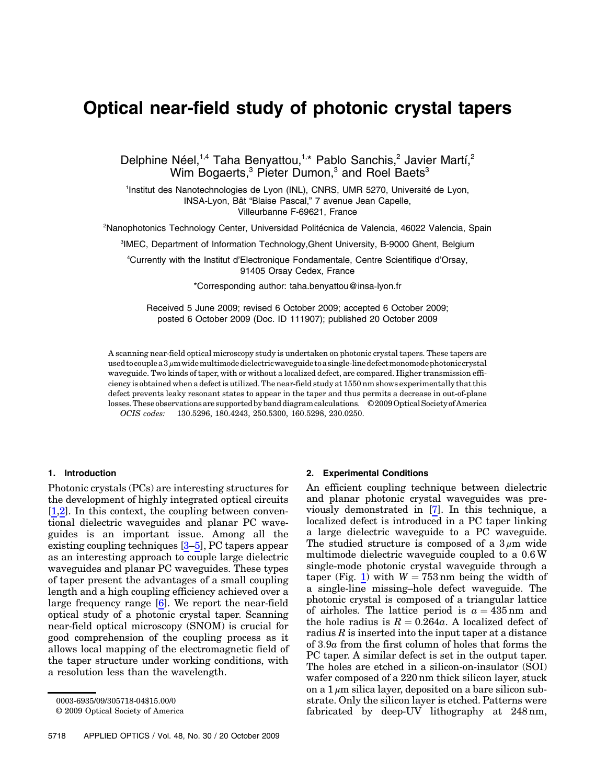# Optical near-field study of photonic crystal tapers

Delphine Néel,<sup>1,4</sup> Taha Benyattou,<sup>1,\*</sup> Pablo Sanchis,<sup>2</sup> Javier Martí,<sup>2</sup> Wim Bogaerts,<sup>3</sup> Pieter Dumon,<sup>3</sup> and Roel Baets<sup>3</sup>

<sup>1</sup>Institut des Nanotechnologies de Lyon (INL), CNRS, UMR 5270, Université de Lyon, INSA-Lyon, Bât "Blaise Pascal," 7 avenue Jean Capelle, Villeurbanne F-69621, France

<sup>2</sup>Nanophotonics Technology Center, Universidad Politécnica de Valencia, 46022 Valencia, Spain

3 IMEC, Department of Information Technology,Ghent University, B-9000 Ghent, Belgium

4 Currently with the Institut d'Electronique Fondamentale, Centre Scientifique d'Orsay, 91405 Orsay Cedex, France

\*Corresponding author: taha.benyattou@insa‑lyon.fr

Received 5 June 2009; revised 6 October 2009; accepted 6 October 2009; posted 6 October 2009 (Doc. ID 111907); published 20 October 2009

A scanning near-field optical microscopy study is undertaken on photonic crystal tapers. These tapers are used to couple a 3  $\mu$ m wide multimode dielectric waveguide to a single-line defect monomode photonic crystal waveguide. Two kinds of taper, with or without a localized defect, are compared. Higher transmission efficiency is obtained when a defect is utilized. The near-field study at 1550 nm shows experimentally that this defect prevents leaky resonant states to appear in the taper and thus permits a decrease in out-of-plane losses.These observations are supported by band diagram calculations. © 2009Optical Society of America OCIS codes: 130.5296, 180.4243, 250.5300, 160.5298, 230.0250.

# 1. Introduction

Photonic crystals (PCs) are interesting structures for the development of highly integrated optical circuits [\[1](#page-3-0)[,2\]](#page-3-1). In this context, the coupling between conventional dielectric waveguides and planar PC waveguides is an important issue. Among all the existing coupling techniques [\[3](#page-3-2)–[5\]](#page-3-3), PC tapers appear as an interesting approach to couple large dielectric waveguides and planar PC waveguides. These types of taper present the advantages of a small coupling length and a high coupling efficiency achieved over a large frequency range [\[6\]](#page-3-4). We report the near-field optical study of a photonic crystal taper. Scanning near-field optical microscopy (SNOM) is crucial for good comprehension of the coupling process as it allows local mapping of the electromagnetic field of the taper structure under working conditions, with a resolution less than the wavelength.

© 2009 Optical Society of America

## 2. Experimental Conditions

An efficient coupling technique between dielectric and planar photonic crystal waveguides was previously demonstrated in [\[7\]](#page-3-5). In this technique, a localized defect is introduced in a PC taper linking a large dielectric waveguide to a PC waveguide. The studied structure is composed of a  $3 \mu m$  wide multimode dielectric waveguide coupled to a 0:6 W single-mode photonic crystal waveguide through a taper (Fig. [1](#page-1-0)) with  $W = 753$  nm being the width of a single-line missing–hole defect waveguide. The photonic crystal is composed of a triangular lattice of airholes. The lattice period is  $a = 435$  nm and the hole radius is  $R = 0.264a$ . A localized defect of radius  $R$  is inserted into the input taper at a distance of 3:9a from the first column of holes that forms the PC taper. A similar defect is set in the output taper. The holes are etched in a silicon-on-insulator (SOI) wafer composed of a 220 nm thick silicon layer, stuck on a  $1 \mu$ m silica layer, deposited on a bare silicon substrate. Only the silicon layer is etched. Patterns were fabricated by deep-UV lithography at 248 nm,

<sup>0003-6935/09/305718-04\$15.00/0</sup>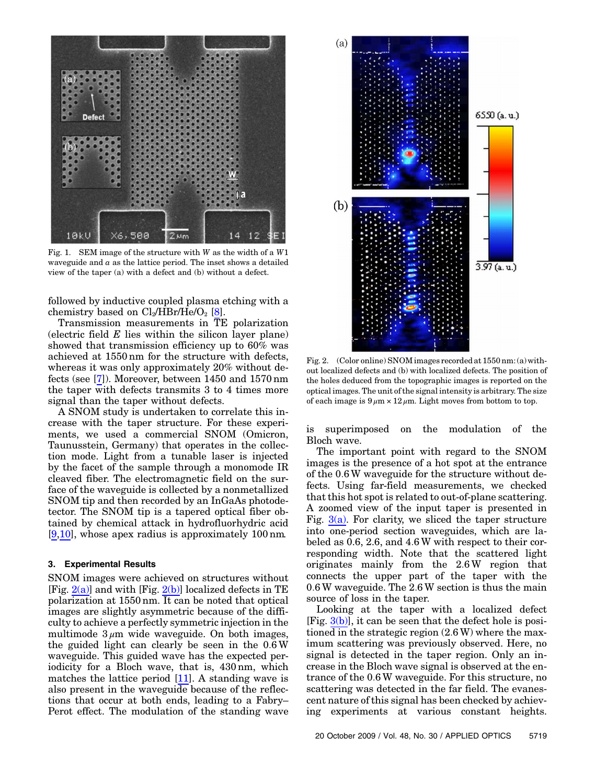<span id="page-1-0"></span>

Fig. 1. SEM image of the structure with W as the width of a W1 waveguide and  $a$  as the lattice period. The inset shows a detailed view of the taper (a) with a defect and (b) without a defect.

followed by inductive coupled plasma etching with a chemistry based on  $Cl_2/HBr/He/O_2$  [[8](#page-3-6)].

Transmission measurements in TE polarization (electric field  $E$  lies within the silicon layer plane) showed that transmission efficiency up to 60% was achieved at 1550 nm for the structure with defects, whereas it was only approximately 20% without defects (see [\[7\]](#page-3-5)). Moreover, between 1450 and 1570 nm the taper with defects transmits 3 to 4 times more signal than the taper without defects.

A SNOM study is undertaken to correlate this increase with the taper structure. For these experiments, we used a commercial SNOM (Omicron, Taunusstein, Germany) that operates in the collection mode. Light from a tunable laser is injected by the facet of the sample through a monomode IR cleaved fiber. The electromagnetic field on the surface of the waveguide is collected by a nonmetallized SNOM tip and then recorded by an InGaAs photodetector. The SNOM tip is a tapered optical fiber obtained by chemical attack in hydrofluorhydric acid [\[9](#page-3-7)[,10\]](#page-3-8), whose apex radius is approximately 100 nm.

## 3. Experimental Results

SNOM images were achieved on structures without [Fig.  $2(a)$ ] and with [Fig.  $2(b)$ ] localized defects in TE polarization at 1550 nm. It can be noted that optical images are slightly asymmetric because of the difficulty to achieve a perfectly symmetric injection in the multimode  $3 \mu m$  wide waveguide. On both images, the guided light can clearly be seen in the 0:6 W waveguide. This guided wave has the expected periodicity for a Bloch wave, that is, 430 nm, which matches the lattice period [\[11](#page-3-9)]. A standing wave is also present in the waveguide because of the reflections that occur at both ends, leading to a Fabry– Perot effect. The modulation of the standing wave

<span id="page-1-2"></span>

<span id="page-1-1"></span>Fig. 2. (Color online) SNOM images recorded at 1550 nm: (a) without localized defects and (b) with localized defects. The position of the holes deduced from the topographic images is reported on the optical images. The unit of the signal intensity is arbitrary. The size of each image is  $9 \mu m \times 12 \mu m$ . Light moves from bottom to top.

is superimposed on the modulation of the Bloch wave.

The important point with regard to the SNOM images is the presence of a hot spot at the entrance of the 0:6W waveguide for the structure without defects. Using far-field measurements, we checked that this hot spot is related to out-of-plane scattering. A zoomed view of the input taper is presented in Fig.  $3(a)$ . For clarity, we sliced the taper structure into one-period section waveguides, which are labeled as 0.6, 2.6, and 4:6 W with respect to their corresponding width. Note that the scattered light originates mainly from the 2:6 W region that connects the upper part of the taper with the 0:6 W waveguide. The 2:6 W section is thus the main source of loss in the taper.

Looking at the taper with a localized defect  $[Fig. 3(b)]$  $[Fig. 3(b)]$  $[Fig. 3(b)]$ , it can be seen that the defect hole is positioned in the strategic region (2:6 W) where the maximum scattering was previously observed. Here, no signal is detected in the taper region. Only an increase in the Bloch wave signal is observed at the entrance of the 0:6 W waveguide. For this structure, no scattering was detected in the far field. The evanescent nature of this signal has been checked by achieving experiments at various constant heights.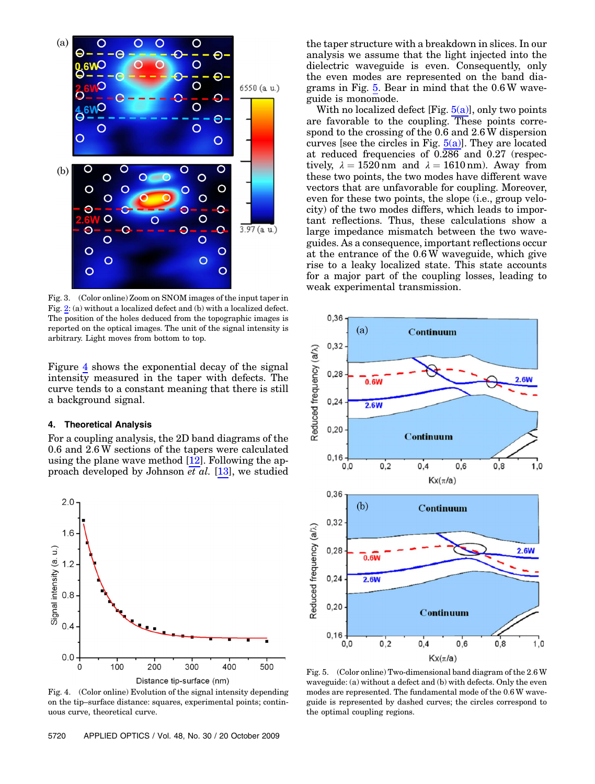

<span id="page-2-0"></span>Fig. 3. (Color online) Zoom on SNOM images of the input taper in Fig. [2](#page-1-2): (a) without a localized defect and (b) with a localized defect. The position of the holes deduced from the topographic images is reported on the optical images. The unit of the signal intensity is arbitrary. Light moves from bottom to top.

Figure [4](#page-2-1) shows the exponential decay of the signal intensity measured in the taper with defects. The curve tends to a constant meaning that there is still a background signal.

#### 4. Theoretical Analysis

For a coupling analysis, the 2D band diagrams of the 0.6 and 2:6 W sections of the tapers were calculated using the plane wave method  $[12]$  $[12]$ . Following the approach developed by Johnson et al. [\[13](#page-3-11)], we studied

<span id="page-2-1"></span>

Fig. 4. (Color online) Evolution of the signal intensity depending on the tip–surface distance: squares, experimental points; continuous curve, theoretical curve.

the taper structure with a breakdown in slices. In our analysis we assume that the light injected into the dielectric waveguide is even. Consequently, only the even modes are represented on the band diagrams in Fig. [5.](#page-2-2) Bear in mind that the 0:6 W waveguide is monomode.

With no localized defect  $[Fig. 5(a)]$  $[Fig. 5(a)]$ , only two points are favorable to the coupling. These points correspond to the crossing of the 0.6 and 2:6 W dispersion curves [see the circles in Fig.  $5(a)$ ]. They are located at reduced frequencies of 0.286 and 0.27 (respectively,  $\lambda = 1520 \text{ nm}$  and  $\lambda = 1610 \text{ nm}$ ). Away from these two points, the two modes have different wave vectors that are unfavorable for coupling. Moreover, even for these two points, the slope (i.e., group velocity) of the two modes differs, which leads to important reflections. Thus, these calculations show a large impedance mismatch between the two waveguides. As a consequence, important reflections occur at the entrance of the 0:6 W waveguide, which give rise to a leaky localized state. This state accounts for a major part of the coupling losses, leading to weak experimental transmission.

<span id="page-2-2"></span>

<span id="page-2-3"></span>Fig. 5. (Color online) Two-dimensional band diagram of the 2:6 W waveguide: (a) without a defect and (b) with defects. Only the even modes are represented. The fundamental mode of the 0:6 W waveguide is represented by dashed curves; the circles correspond to the optimal coupling regions.